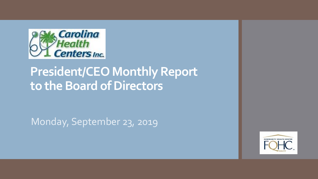

# **President/CEO Monthly Report to the Board of Directors**

Monday, September 23, 2019

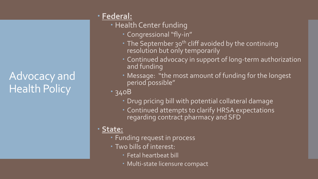## Advocacy and Health Policy

#### **Federal:**

- Health Center funding
	- Congressional "fly-in"
	- The September 30<sup>th</sup> cliff avoided by the continuing resolution but only temporarily
	- Continued advocacy in support of long-term authorization and funding
	- Message: "the most amount of funding for the longest period possible"
- 340B
	- Drug pricing bill with potential collateral damage
	- Continued attempts to clarify HRSA expectations regarding contract pharmacy and SFD

#### **State:**

- Funding request in process
- Two bills of interest:
	- Fetal heartbeat bill
	- Multi-state licensure compact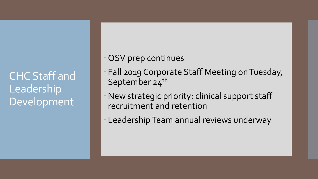CHC Staff and **Leadership** Development

- OSV prep continues
- Fall 2019 Corporate Staff Meeting on Tuesday, September 24<sup>th</sup>
- New strategic priority: clinical support staff recruitment and retention
- Leadership Team annual reviews underway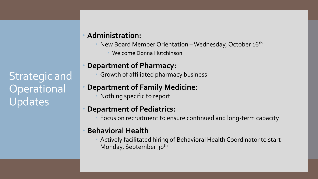Strategic and **Operational** Updates

#### **Administration:**

- New Board Member Orientation Wednesday, October  $16<sup>th</sup>$ 
	- Welcome Donna Hutchinson

#### **Department of Pharmacy:**

Growth of affiliated pharmacy business

#### **Department of Family Medicine:**

Nothing specific to report

#### **Department of Pediatrics:**

Focus on recruitment to ensure continued and long-term capacity

#### **Behavioral Health**

 Actively facilitated hiring of Behavioral Health Coordinator to start Monday, September 30<sup>th</sup>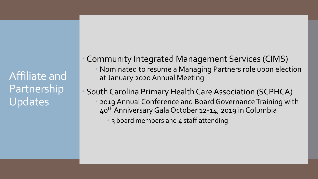Affiliate and Partnership Updates

 Community Integrated Management Services (CIMS) Nominated to resume a Managing Partners role upon election at January 2020 Annual Meeting

 South Carolina Primary Health Care Association (SCPHCA) 2019 Annual Conference and Board Governance Training with 40<sup>th</sup> Anniversary Gala October 12-14, 2019 in Columbia

<sup>3</sup> 3 board members and 4 staff attending